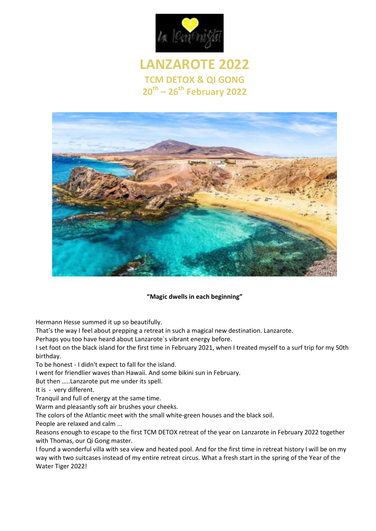

# **LANZAROTE 2022 TCM DETOX & QI GONG 20 th – 26th February 2022**



#### **"Magic dwells in each beginning"**

Hermann Hesse summed it up so beautifully.

That's the way I feel about prepping a retreat in such a magical new destination. Lanzarote.

Perhaps you too have heard about Lanzarote`s vibrant energy before.

I set foot on the black island for the first time in February 2021, when I treated myself to a surf trip for my 50th birthday.

To be honest - I didn't expect to fall for the island.

I went for friendlier waves than Hawaii. And some bikini sun in February.

But then …..Lanzarote put me under its spell.

It is - very different.

Tranquil and full of energy at the same time.

Warm and pleasantly soft air brushes your cheeks.

The colors of the Atlantic meet with the small white-green houses and the black soil.

People are relaxed and calm ...

Reasons enough to escape to the first TCM DETOX retreat of the year on Lanzarote in February 2022 together with Thomas, our Qi Gong master.

I found a wonderful villa with sea view and heated pool. And for the first time in retreat history I will be on my way with two suitcases instead of my entire retreat circus. What a fresh start in the spring of the Year of the Water Tiger 2022!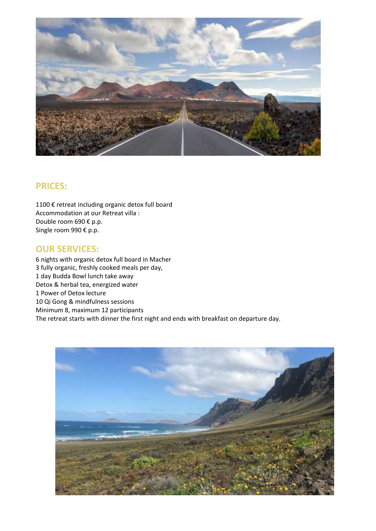

#### **PRICES:**

1100 € retreat including organic detox full board Accommodation at our Retreat villa : Double room 690 € p.p. Single room 990 € p.p.

### **OUR SERVICES:**

6 nights with organic detox full board in Macher 3 fully organic, freshly cooked meals per day, 1 day Budda Bowl lunch take away Detox & herbal tea, energized water 1 Power of Detox lecture 10 Qi Gong & mindfulness sessions Minimum 8, maximum 12 participants The retreat starts with dinner the first night and ends with breakfast on departure day.

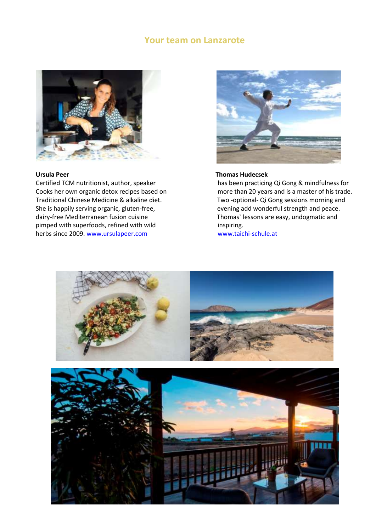#### **Your team on Lanzarote**



Traditional Chinese Medicine & alkaline diet. Two -optional- Qi Gong sessions morning and She is happily serving organic, gluten-free, event meer evening add wonderful strength and peace. dairy-free Mediterranean fusion cuisine Thomas` lessons are easy, undogmatic and pimped with superfoods, refined with wild<br>
herbs since 2009. www.ursulapeer.com<br>
www.taichi-schule.at herbs since 2009. [www.ursulapeer.com](http://www.ursulapeer.com/)



#### **Ursula Peer Thomas Hudecsek**

Certified TCM nutritionist, author, speaker has been practicing Qi Gong & mindfulness for Cooks her own organic detox recipes based on more than 20 years and is a master of his trade.